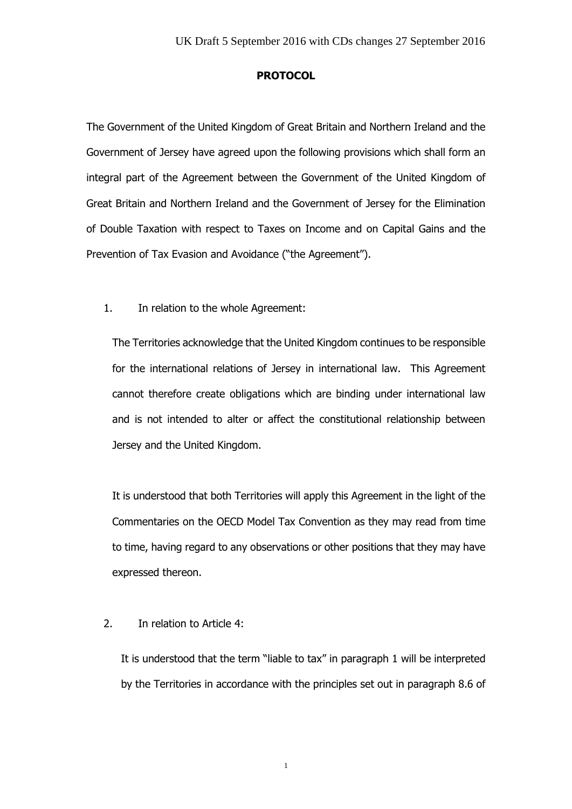## **PROTOCOL**

The Government of the United Kingdom of Great Britain and Northern Ireland and the Government of Jersey have agreed upon the following provisions which shall form an integral part of the Agreement between the Government of the United Kingdom of Great Britain and Northern Ireland and the Government of Jersey for the Elimination of Double Taxation with respect to Taxes on Income and on Capital Gains and the Prevention of Tax Evasion and Avoidance ("the Agreement").

1. In relation to the whole Agreement:

The Territories acknowledge that the United Kingdom continues to be responsible for the international relations of Jersey in international law. This Agreement cannot therefore create obligations which are binding under international law and is not intended to alter or affect the constitutional relationship between Jersey and the United Kingdom.

It is understood that both Territories will apply this Agreement in the light of the Commentaries on the OECD Model Tax Convention as they may read from time to time, having regard to any observations or other positions that they may have expressed thereon.

2. In relation to Article 4:

It is understood that the term "liable to tax" in paragraph 1 will be interpreted by the Territories in accordance with the principles set out in paragraph 8.6 of